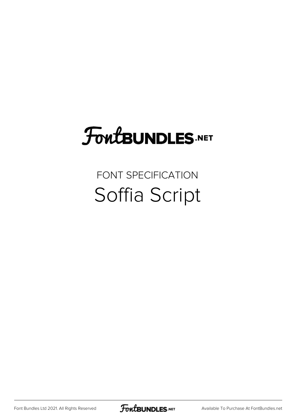### FoutBUNDLES.NET

#### FONT SPECIFICATION Soffia Script

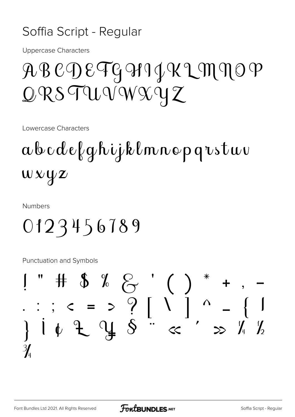#### Soffia Script - Regular

**Uppercase Characters** 

### ABCDEFG911IKLMNOP  $QRS$ TUVWXYZ

Lowercase Characters

### abcdefghijklmnopqrstuv  $wxyz$

**Numbers** 

#### 0123456789

Punctuation and Symbols

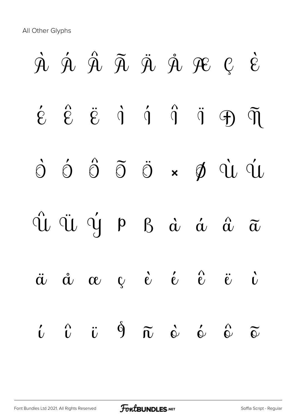All Other Glyphs

# À Á Â Ã Ä Å Æ Ç È  $\acute{\epsilon}$   $\acute{\epsilon}$   $\ddot{\theta}$   $\dot{\theta}$   $\ddot{\theta}$   $\ddot{\theta}$   $\ddot{\theta}$   $\ddot{\theta}$ Ò Ó Ô Õ Ö × Ø Ù Ú Û Ü Ý Þ ß à á â ã ä å æ ç è é ê ë ì  $\hat{u}$   $\hat{u}$   $\hat{v}$   $\hat{0}$   $\hat{\alpha}$   $\hat{\omega}$   $\hat{\omega}$   $\hat{\omega}$   $\hat{\omega}$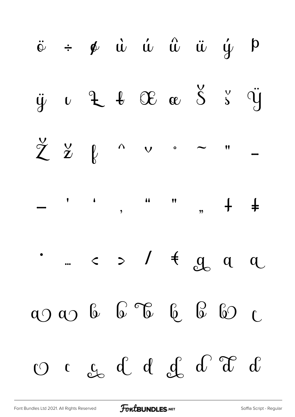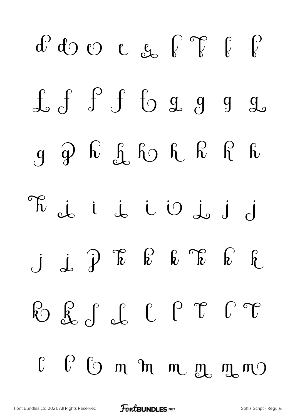$d^{0}d^{0}$   $e_{h}$   $e_{h}$   $f$   $f$   $f$  $f f f$  of  $f g g g$  $g \nvert q$   $h \rvert$   $f_0$   $f_1 \rvert$   $h \rvert$   $f_2 \rvert$   $f_3 \rvert$ R i i i U j  $j \int \mathcal{P} \mathcal{P}$   $k \int \mathcal{P} \mathcal{P}$ B f f f f f f f  $0$   $0$   $0$   $m$   $m$   $m$   $m$   $m$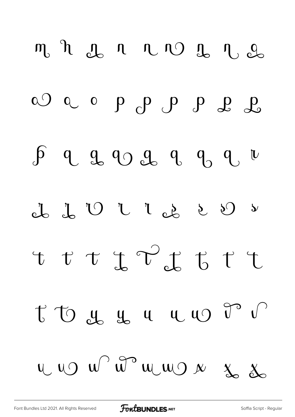m n g n n n g n g a) a o p p p p p p d  $\int$  q q q q q q q u t t t t t <sup>v</sup><sub>c</sub>k t t t t to y y y y y v r  $UU$   $UU$   $\omega$   $\omega$   $\omega$   $\omega$   $\omega$   $\omega$   $\omega$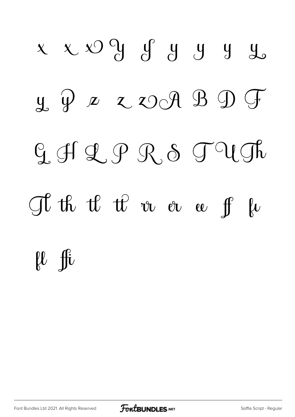## $x$   $x$   $x$   $\int_0^1$   $\int_0^1$   $\int_0^1$   $\int_0^1$   $\int_0^1$   $\int_0^1$   $\int_0^1$  $\mu$   $\psi$   $\alpha$   $\chi$   $\circ$   $\circ$   $\theta$   $\circ$   $\circ$  $G$ , off  $Q$ ,  $P$   $R$ ,  $S$   $T$   $U$   $D$ The the the tree or a fact of the second terms of the terms of the fact of the fact of the fact of the fact of the fact of the fact of the fact of the fact of the fact of the fact of the fact of the fact of the fact of the  $\begin{matrix} \mu & \text{fit} \end{matrix}$

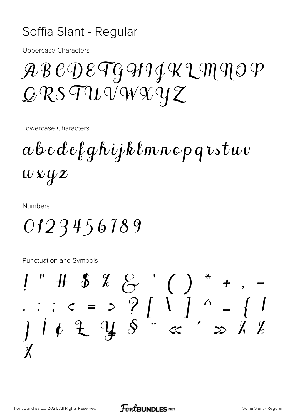#### Soffia Slant - Regular

**Uppercase Characters** 

### ABCDETGHIJKLMNOP  $QRS$ TUVWXYZ

Lowercase Characters

 $a\&c\&e\&g\&ijk\&m\&o\&p\&v\&t\&v$  $wxyz$ 

**Numbers** 

0123456789

Punctuation and Symbols

 $\frac{3}{4}$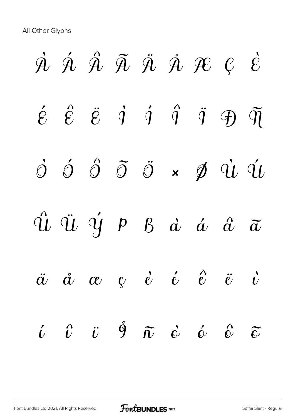# $\dot{A}$   $\dot{A}$   $\ddot{A}$   $\ddot{A}$   $\ddot{A}$   $\dot{B}$   $\dot{B}$   $C$   $\dot{E}$  $\acute{e}$   $\acute{e}$   $\ddot{e}$   $\dot{q}$   $\acute{q}$   $\ddot{q}$   $\ddot{q}$   $\ddot{q}$   $\ddot{q}$   $\ddot{q}$  $\dot{\mathcal{O}}$   $\dot{\mathcal{O}}$   $\ddot{\mathcal{O}}$   $\ddot{\mathcal{O}}$   $\dot{\mathcal{O}}$   $\dot{\mathcal{O}}$   $\dot{\mathcal{O}}$   $\dot{\mathcal{O}}$   $\dot{\mathcal{O}}$   $\dot{\mathcal{O}}$   $\dot{\mathcal{O}}$   $\dot{\mathcal{O}}$   $\dot{\mathcal{O}}$   $\dot{\mathcal{O}}$   $\dot{\mathcal{O}}$   $\dot{\mathcal{O}}$   $\dot{\mathcal{O}}$   $\dot{\mathcal{O}}$   $\dot{\mathcal{O}}$   $\dot{\mathcal{O}}$  $\hat{u}$   $\ddot{u}$   $\dot{y}$   $p$   $g$   $\dot{a}$   $\dot{a}$   $\ddot{a}$   $\ddot{a}$  $\ddot{a}$   $\dot{a}$   $\alpha$   $\dot{c}$   $\dot{e}$   $\dot{e}$   $\ddot{e}$   $\ddot{e}$   $\ddot{c}$  $\begin{array}{ccccccccccccc} \hat{\iota} & \hat{\iota} & \hat{\iota} & \hat{\sigma} & \hat{\sigma} & \hat{\sigma} & \hat{\sigma} & \hat{\sigma} & \hat{\sigma} & \hat{\sigma} & \hat{\sigma} & \hat{\sigma} & \hat{\sigma} & \hat{\sigma} & \hat{\sigma} & \hat{\sigma} & \hat{\sigma} & \hat{\sigma} & \hat{\sigma} & \hat{\sigma} & \hat{\sigma} & \hat{\sigma} & \hat{\sigma} & \hat{\sigma} & \hat{\sigma} & \hat{\sigma} & \hat{\sigma} & \hat{\sigma} & \hat{\sigma} & \hat{\sigma} & \hat{\sigma} & \hat{\sigma} & \hat{\sigma} & \hat{\sigma} & \hat{\$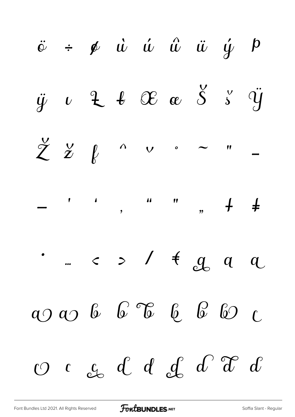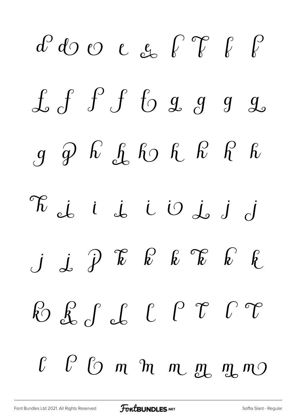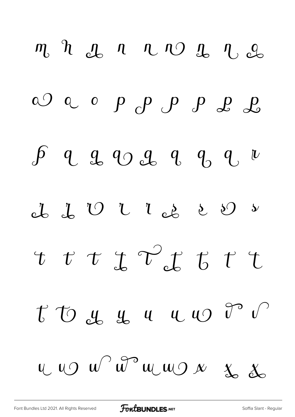$m h h d h n v o d h o$ a) a o p p p p p p d  $\int$  q q q q q q  $\mu$ ct  $J U U U e^{\frac{1}{2}} U$  $\tau \tau \tau \tau \mathcal{C}$  $t\circ t\circ t\circ y\circ u\circ u\circ t\circ v$  $U$   $U$   $U$   $\theta$   $\theta$   $U$   $U$   $\theta$   $\theta$   $X$   $X$